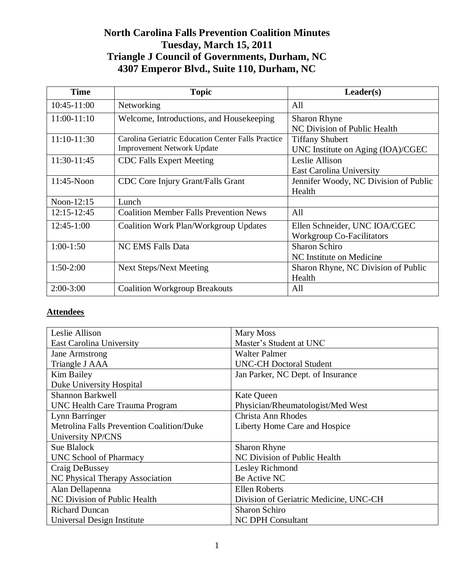# **North Carolina Falls Prevention Coalition Minutes Tuesday, March 15, 2011 Triangle J Council of Governments, Durham, NC 4307 Emperor Blvd., Suite 110, Durham, NC**

| <b>Time</b>   | <b>Topic</b>                                       | Leader(s)                             |
|---------------|----------------------------------------------------|---------------------------------------|
| 10:45-11:00   | Networking                                         | All                                   |
| 11:00-11:10   | Welcome, Introductions, and Housekeeping           | <b>Sharon Rhyne</b>                   |
|               |                                                    | NC Division of Public Health          |
| 11:10-11:30   | Carolina Geriatric Education Center Falls Practice | <b>Tiffany Shubert</b>                |
|               | <b>Improvement Network Update</b>                  | UNC Institute on Aging (IOA)/CGEC     |
| 11:30-11:45   | <b>CDC</b> Falls Expert Meeting                    | Leslie Allison                        |
|               |                                                    | <b>East Carolina University</b>       |
| $11:45-N$ oon | <b>CDC</b> Core Injury Grant/Falls Grant           | Jennifer Woody, NC Division of Public |
|               |                                                    | Health                                |
| Noon-12:15    | Lunch                                              |                                       |
| 12:15-12:45   | <b>Coalition Member Falls Prevention News</b>      | All                                   |
| $12:45-1:00$  | Coalition Work Plan/Workgroup Updates              | Ellen Schneider, UNC IOA/CGEC         |
|               |                                                    | <b>Workgroup Co-Facilitators</b>      |
| $1:00-1:50$   | <b>NC EMS Falls Data</b>                           | <b>Sharon Schiro</b>                  |
|               |                                                    | NC Institute on Medicine              |
| $1:50-2:00$   | <b>Next Steps/Next Meeting</b>                     | Sharon Rhyne, NC Division of Public   |
|               |                                                    | Health                                |
| $2:00-3:00$   | <b>Coalition Workgroup Breakouts</b>               | All                                   |

## **Attendees**

| Leslie Allison                            | Mary Moss                              |  |
|-------------------------------------------|----------------------------------------|--|
| <b>East Carolina University</b>           | Master's Student at UNC                |  |
| Jane Armstrong                            | Walter Palmer                          |  |
| Triangle J AAA                            | <b>UNC-CH Doctoral Student</b>         |  |
| <b>Kim Bailey</b>                         | Jan Parker, NC Dept. of Insurance      |  |
| Duke University Hospital                  |                                        |  |
| <b>Shannon Barkwell</b>                   | <b>Kate Queen</b>                      |  |
| UNC Health Care Trauma Program            | Physician/Rheumatologist/Med West      |  |
| Lynn Barringer                            | Christa Ann Rhodes                     |  |
| Metrolina Falls Prevention Coalition/Duke | Liberty Home Care and Hospice          |  |
| University NP/CNS                         |                                        |  |
| Sue Blalock                               | <b>Sharon Rhyne</b>                    |  |
| UNC School of Pharmacy                    | NC Division of Public Health           |  |
| Craig DeBussey                            | Lesley Richmond                        |  |
| NC Physical Therapy Association           | Be Active NC                           |  |
| Alan Dellapenna                           | <b>Ellen Roberts</b>                   |  |
| NC Division of Public Health              | Division of Geriatric Medicine, UNC-CH |  |
| <b>Richard Duncan</b>                     | Sharon Schiro                          |  |
| Universal Design Institute                | <b>NC DPH Consultant</b>               |  |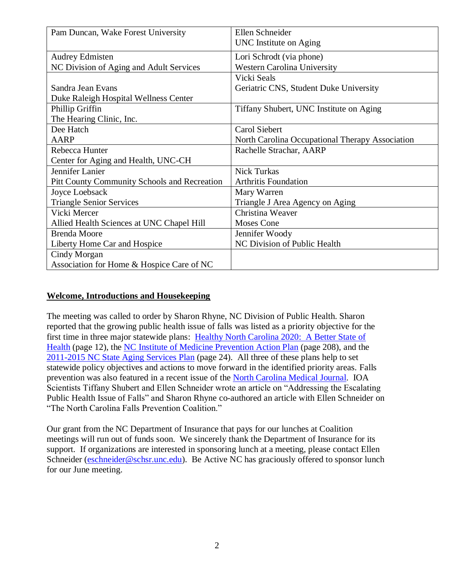| Pam Duncan, Wake Forest University                  | Ellen Schneider                                 |
|-----------------------------------------------------|-------------------------------------------------|
|                                                     | UNC Institute on Aging                          |
| <b>Audrey Edmisten</b>                              | Lori Schrodt (via phone)                        |
| NC Division of Aging and Adult Services             | <b>Western Carolina University</b>              |
|                                                     | Vicki Seals                                     |
| Sandra Jean Evans                                   | Geriatric CNS, Student Duke University          |
| Duke Raleigh Hospital Wellness Center               |                                                 |
| Phillip Griffin                                     | Tiffany Shubert, UNC Institute on Aging         |
| The Hearing Clinic, Inc.                            |                                                 |
| Dee Hatch                                           | Carol Siebert                                   |
| AARP                                                | North Carolina Occupational Therapy Association |
| Rebecca Hunter                                      | Rachelle Strachar, AARP                         |
| Center for Aging and Health, UNC-CH                 |                                                 |
| Jennifer Lanier                                     | <b>Nick Turkas</b>                              |
| <b>Pitt County Community Schools and Recreation</b> | <b>Arthritis Foundation</b>                     |
| Joyce Loebsack                                      | Mary Warren                                     |
| <b>Triangle Senior Services</b>                     | Triangle J Area Agency on Aging                 |
| Vicki Mercer                                        | Christina Weaver                                |
| Allied Health Sciences at UNC Chapel Hill           | <b>Moses Cone</b>                               |
| <b>Brenda Moore</b>                                 | Jennifer Woody                                  |
| Liberty Home Car and Hospice                        | NC Division of Public Health                    |
| Cindy Morgan                                        |                                                 |
| Association for Home & Hospice Care of NC           |                                                 |

#### **Welcome, Introductions and Housekeeping**

The meeting was called to order by Sharon Rhyne, NC Division of Public Health. Sharon reported that the growing public health issue of falls was listed as a priority objective for the first time in three major statewide plans: Healthy North Carolina 2020: A Better State of [Health](http://publichealth.nc.gov/hnc2020/index.htm) (page 12), the [NC Institute of Medicine Prevention Action Plan](http://www.nciom.org/wp-content/uploads/NCIOM/projects/prevention/finalreport/PreventionReport-July2010.pdf) (page 208), and the [2011-2015 NC State Aging Services Plan](http://www.ncdhhs.gov/aging/stplan/NC_Aging_Services_Plan_2011-2015.pdf) (page 24). All three of these plans help to set statewide policy objectives and actions to move forward in the identified priority areas. Falls prevention was also featured in a recent issue of the [North Carolina Medical Journal.](https://www.shutterfly.com/account/psw_sending_link.jsp?email=eschneider@nc.rr.com) IOA Scientists Tiffany Shubert and Ellen Schneider wrote an article on "Addressing the Escalating Public Health Issue of Falls" and Sharon Rhyne co-authored an article with Ellen Schneider on "The North Carolina Falls Prevention Coalition."

Our grant from the NC Department of Insurance that pays for our lunches at Coalition meetings will run out of funds soon. We sincerely thank the Department of Insurance for its support. If organizations are interested in sponsoring lunch at a meeting, please contact Ellen Schneider [\(eschneider@schsr.unc.edu\)](mailto:eschneider@schsr.unc.edu). Be Active NC has graciously offered to sponsor lunch for our June meeting.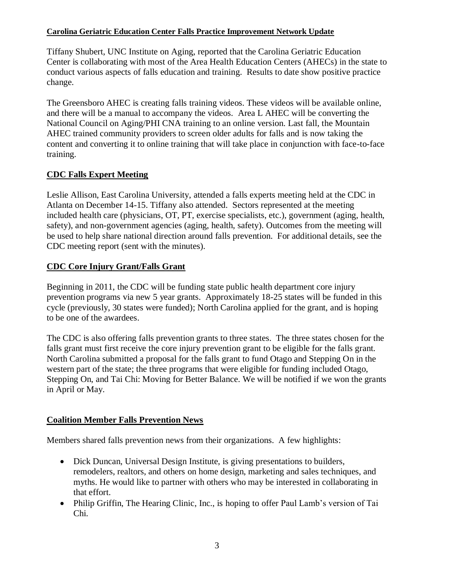#### **Carolina Geriatric Education Center Falls Practice Improvement Network Update**

Tiffany Shubert, UNC Institute on Aging, reported that the Carolina Geriatric Education Center is collaborating with most of the Area Health Education Centers (AHECs) in the state to conduct various aspects of falls education and training. Results to date show positive practice change.

The Greensboro AHEC is creating falls training videos. These videos will be available online, and there will be a manual to accompany the videos. Area L AHEC will be converting the National Council on Aging/PHI CNA training to an online version. Last fall, the Mountain AHEC trained community providers to screen older adults for falls and is now taking the content and converting it to online training that will take place in conjunction with face-to-face training.

### **CDC Falls Expert Meeting**

Leslie Allison, East Carolina University, attended a falls experts meeting held at the CDC in Atlanta on December 14-15. Tiffany also attended. Sectors represented at the meeting included health care (physicians, OT, PT, exercise specialists, etc.), government (aging, health, safety), and non-government agencies (aging, health, safety). Outcomes from the meeting will be used to help share national direction around falls prevention. For additional details, see the CDC meeting report (sent with the minutes).

### **CDC Core Injury Grant/Falls Grant**

Beginning in 2011, the CDC will be funding state public health department core injury prevention programs via new 5 year grants. Approximately 18-25 states will be funded in this cycle (previously, 30 states were funded); North Carolina applied for the grant, and is hoping to be one of the awardees.

The CDC is also offering falls prevention grants to three states. The three states chosen for the falls grant must first receive the core injury prevention grant to be eligible for the falls grant. North Carolina submitted a proposal for the falls grant to fund Otago and Stepping On in the western part of the state; the three programs that were eligible for funding included Otago, Stepping On, and Tai Chi: Moving for Better Balance. We will be notified if we won the grants in April or May.

### **Coalition Member Falls Prevention News**

Members shared falls prevention news from their organizations. A few highlights:

- Dick Duncan, Universal Design Institute, is giving presentations to builders, remodelers, realtors, and others on home design, marketing and sales techniques, and myths. He would like to partner with others who may be interested in collaborating in that effort.
- Philip Griffin, The Hearing Clinic, Inc., is hoping to offer Paul Lamb's version of Tai Chi.